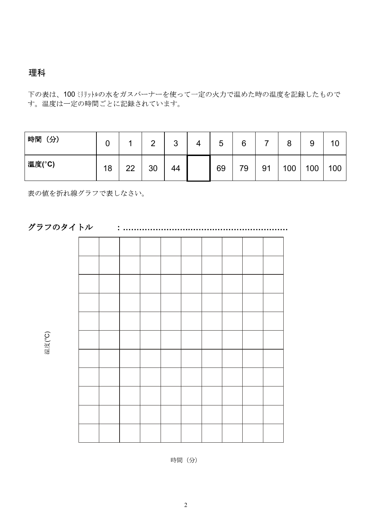## PART A will be assessed in accordance with the objectives listed in Criteria A: Conclusion and Evaluation

下の表は、100ミリットルの水をガスバーナーを使って一定の火力で温めた時の温度を記録したもので<br>す。温度は一定の時間ごとに記録されています。

| 時間<br>(分) | ີ       |         | ⌒  | ◠<br>◡ | ς<br>J | 6  |    | 8   | 9   | 10  |
|-----------|---------|---------|----|--------|--------|----|----|-----|-----|-----|
| 温度(°C)    | 18<br>л | າາ<br>ᅩ | 30 | 44     | 69     | 79 | 91 | 100 | 100 | 100 |

表の値を折れ線グラフで表しなさい。



時間 (分)